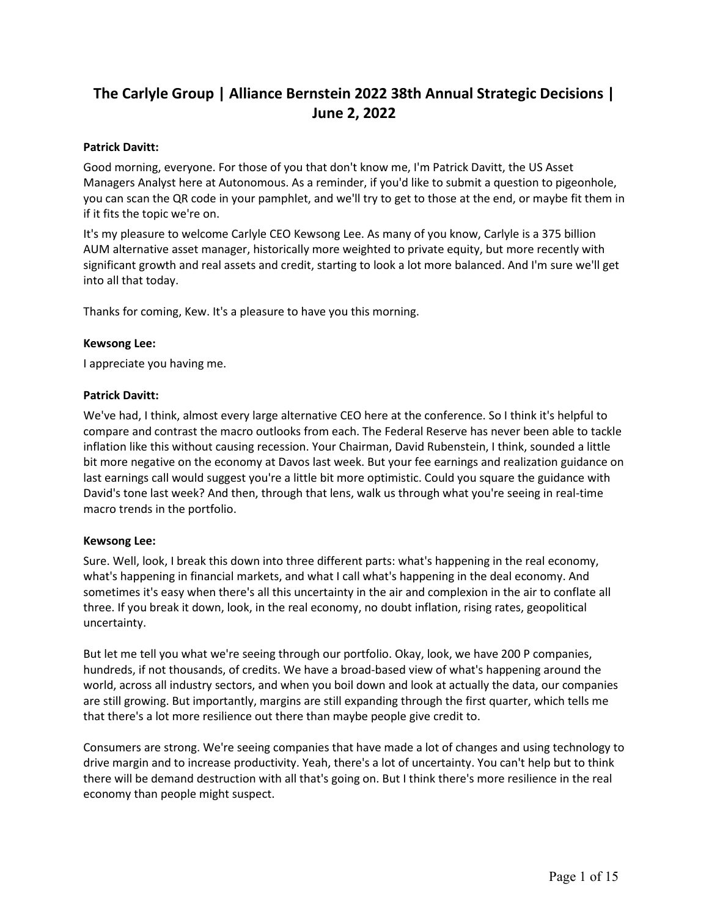# **The Carlyle Group | Alliance Bernstein 2022 38th Annual Strategic Decisions | June 2, 2022**

### **Patrick Davitt:**

Good morning, everyone. For those of you that don't know me, I'm Patrick Davitt, the US Asset Managers Analyst here at Autonomous. As a reminder, if you'd like to submit a question to pigeonhole, you can scan the QR code in your pamphlet, and we'll try to get to those at the end, or maybe fit them in if it fits the topic we're on.

It's my pleasure to welcome Carlyle CEO Kewsong Lee. As many of you know, Carlyle is a 375 billion AUM alternative asset manager, historically more weighted to private equity, but more recently with significant growth and real assets and credit, starting to look a lot more balanced. And I'm sure we'll get into all that today.

Thanks for coming, Kew. It's a pleasure to have you this morning.

### **Kewsong Lee:**

I appreciate you having me.

### **Patrick Davitt:**

We've had, I think, almost every large alternative CEO here at the conference. So I think it's helpful to compare and contrast the macro outlooks from each. The Federal Reserve has never been able to tackle inflation like this without causing recession. Your Chairman, David Rubenstein, I think, sounded a little bit more negative on the economy at Davos last week. But your fee earnings and realization guidance on last earnings call would suggest you're a little bit more optimistic. Could you square the guidance with David's tone last week? And then, through that lens, walk us through what you're seeing in real-time macro trends in the portfolio.

#### **Kewsong Lee:**

Sure. Well, look, I break this down into three different parts: what's happening in the real economy, what's happening in financial markets, and what I call what's happening in the deal economy. And sometimes it's easy when there's all this uncertainty in the air and complexion in the air to conflate all three. If you break it down, look, in the real economy, no doubt inflation, rising rates, geopolitical uncertainty.

But let me tell you what we're seeing through our portfolio. Okay, look, we have 200 P companies, hundreds, if not thousands, of credits. We have a broad-based view of what's happening around the world, across all industry sectors, and when you boil down and look at actually the data, our companies are still growing. But importantly, margins are still expanding through the first quarter, which tells me that there's a lot more resilience out there than maybe people give credit to.

Consumers are strong. We're seeing companies that have made a lot of changes and using technology to drive margin and to increase productivity. Yeah, there's a lot of uncertainty. You can't help but to think there will be demand destruction with all that's going on. But I think there's more resilience in the real economy than people might suspect.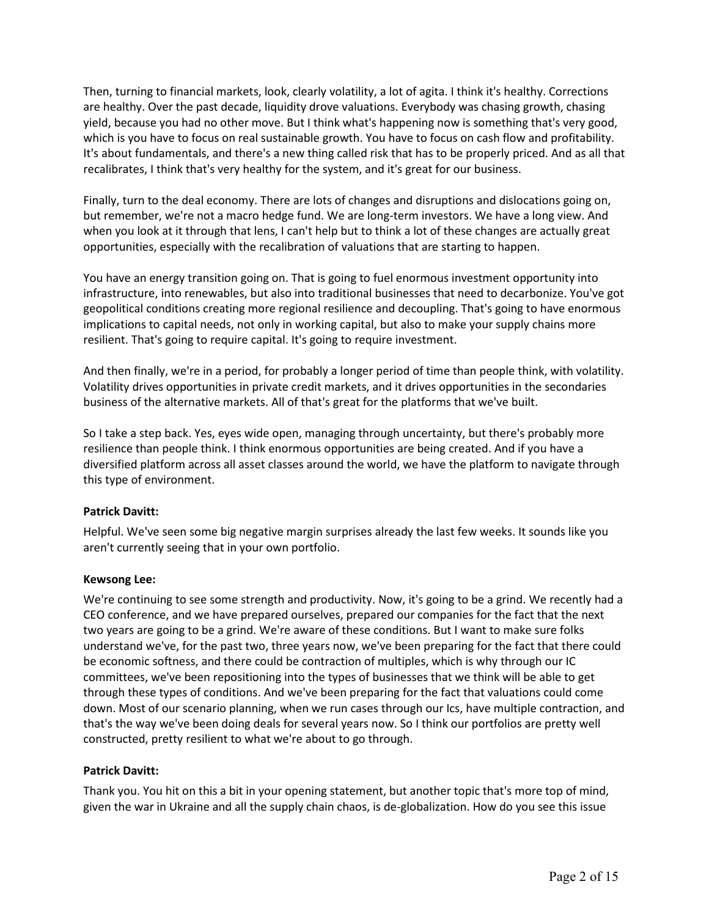Then, turning to financial markets, look, clearly volatility, a lot of agita. I think it's healthy. Corrections are healthy. Over the past decade, liquidity drove valuations. Everybody was chasing growth, chasing yield, because you had no other move. But I think what's happening now is something that's very good, which is you have to focus on real sustainable growth. You have to focus on cash flow and profitability. It's about fundamentals, and there's a new thing called risk that has to be properly priced. And as all that recalibrates, I think that's very healthy for the system, and it's great for our business.

Finally, turn to the deal economy. There are lots of changes and disruptions and dislocations going on, but remember, we're not a macro hedge fund. We are long-term investors. We have a long view. And when you look at it through that lens, I can't help but to think a lot of these changes are actually great opportunities, especially with the recalibration of valuations that are starting to happen.

You have an energy transition going on. That is going to fuel enormous investment opportunity into infrastructure, into renewables, but also into traditional businesses that need to decarbonize. You've got geopolitical conditions creating more regional resilience and decoupling. That's going to have enormous implications to capital needs, not only in working capital, but also to make your supply chains more resilient. That's going to require capital. It's going to require investment.

And then finally, we're in a period, for probably a longer period of time than people think, with volatility. Volatility drives opportunities in private credit markets, and it drives opportunities in the secondaries business of the alternative markets. All of that's great for the platforms that we've built.

So I take a step back. Yes, eyes wide open, managing through uncertainty, but there's probably more resilience than people think. I think enormous opportunities are being created. And if you have a diversified platform across all asset classes around the world, we have the platform to navigate through this type of environment.

# **Patrick Davitt:**

Helpful. We've seen some big negative margin surprises already the last few weeks. It sounds like you aren't currently seeing that in your own portfolio.

# **Kewsong Lee:**

We're continuing to see some strength and productivity. Now, it's going to be a grind. We recently had a CEO conference, and we have prepared ourselves, prepared our companies for the fact that the next two years are going to be a grind. We're aware of these conditions. But I want to make sure folks understand we've, for the past two, three years now, we've been preparing for the fact that there could be economic softness, and there could be contraction of multiples, which is why through our IC committees, we've been repositioning into the types of businesses that we think will be able to get through these types of conditions. And we've been preparing for the fact that valuations could come down. Most of our scenario planning, when we run cases through our Ics, have multiple contraction, and that's the way we've been doing deals for several years now. So I think our portfolios are pretty well constructed, pretty resilient to what we're about to go through.

# **Patrick Davitt:**

Thank you. You hit on this a bit in your opening statement, but another topic that's more top of mind, given the war in Ukraine and all the supply chain chaos, is de-globalization. How do you see this issue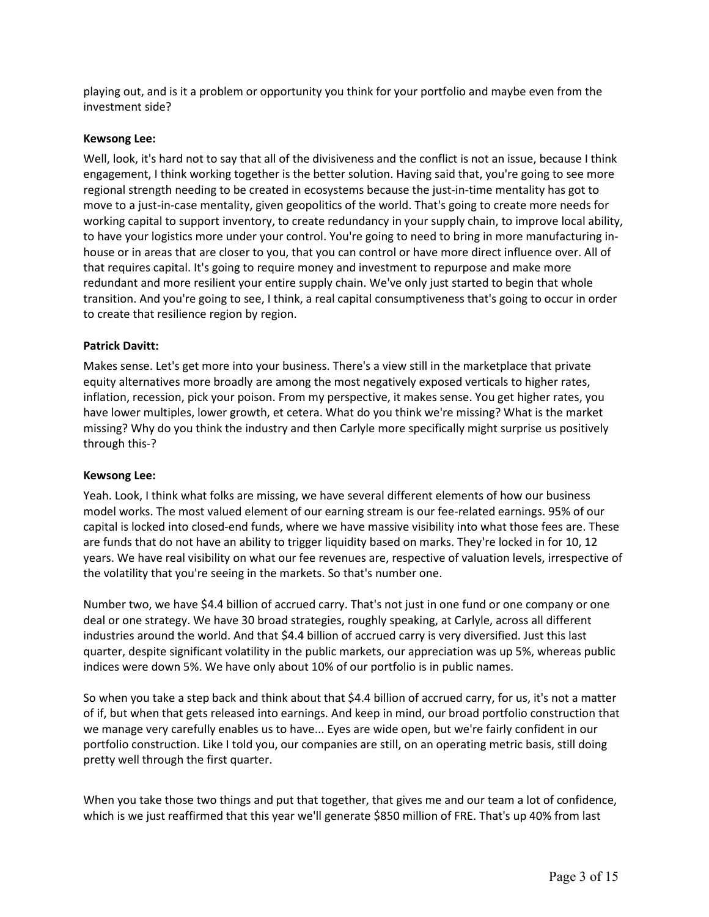playing out, and is it a problem or opportunity you think for your portfolio and maybe even from the investment side?

### **Kewsong Lee:**

Well, look, it's hard not to say that all of the divisiveness and the conflict is not an issue, because I think engagement, I think working together is the better solution. Having said that, you're going to see more regional strength needing to be created in ecosystems because the just-in-time mentality has got to move to a just-in-case mentality, given geopolitics of the world. That's going to create more needs for working capital to support inventory, to create redundancy in your supply chain, to improve local ability, to have your logistics more under your control. You're going to need to bring in more manufacturing inhouse or in areas that are closer to you, that you can control or have more direct influence over. All of that requires capital. It's going to require money and investment to repurpose and make more redundant and more resilient your entire supply chain. We've only just started to begin that whole transition. And you're going to see, I think, a real capital consumptiveness that's going to occur in order to create that resilience region by region.

### **Patrick Davitt:**

Makes sense. Let's get more into your business. There's a view still in the marketplace that private equity alternatives more broadly are among the most negatively exposed verticals to higher rates, inflation, recession, pick your poison. From my perspective, it makes sense. You get higher rates, you have lower multiples, lower growth, et cetera. What do you think we're missing? What is the market missing? Why do you think the industry and then Carlyle more specifically might surprise us positively through this-?

#### **Kewsong Lee:**

Yeah. Look, I think what folks are missing, we have several different elements of how our business model works. The most valued element of our earning stream is our fee-related earnings. 95% of our capital is locked into closed-end funds, where we have massive visibility into what those fees are. These are funds that do not have an ability to trigger liquidity based on marks. They're locked in for 10, 12 years. We have real visibility on what our fee revenues are, respective of valuation levels, irrespective of the volatility that you're seeing in the markets. So that's number one.

Number two, we have \$4.4 billion of accrued carry. That's not just in one fund or one company or one deal or one strategy. We have 30 broad strategies, roughly speaking, at Carlyle, across all different industries around the world. And that \$4.4 billion of accrued carry is very diversified. Just this last quarter, despite significant volatility in the public markets, our appreciation was up 5%, whereas public indices were down 5%. We have only about 10% of our portfolio is in public names.

So when you take a step back and think about that \$4.4 billion of accrued carry, for us, it's not a matter of if, but when that gets released into earnings. And keep in mind, our broad portfolio construction that we manage very carefully enables us to have... Eyes are wide open, but we're fairly confident in our portfolio construction. Like I told you, our companies are still, on an operating metric basis, still doing pretty well through the first quarter.

When you take those two things and put that together, that gives me and our team a lot of confidence, which is we just reaffirmed that this year we'll generate \$850 million of FRE. That's up 40% from last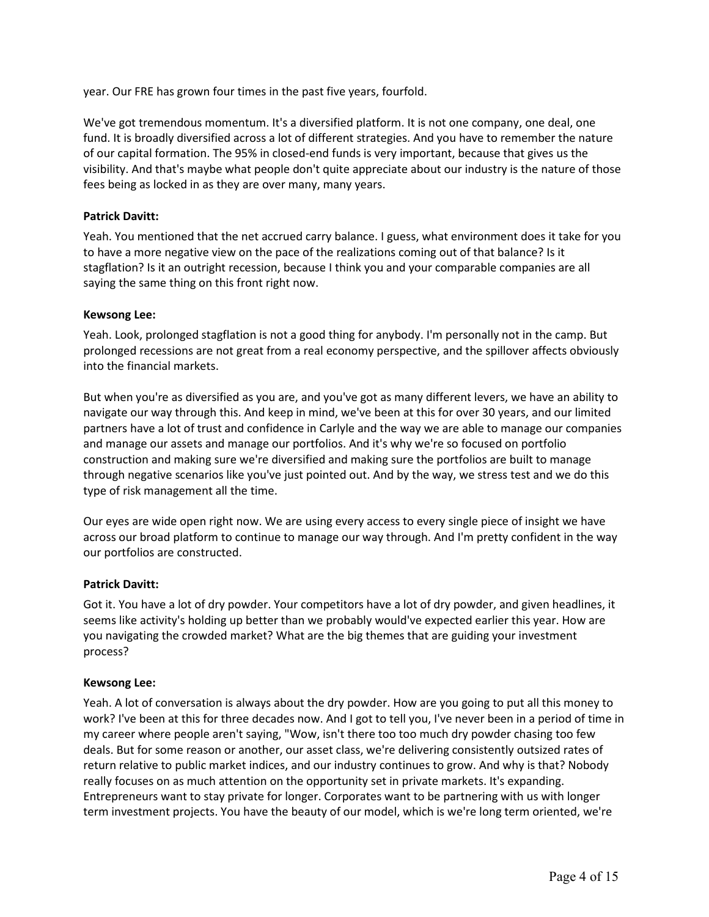year. Our FRE has grown four times in the past five years, fourfold.

We've got tremendous momentum. It's a diversified platform. It is not one company, one deal, one fund. It is broadly diversified across a lot of different strategies. And you have to remember the nature of our capital formation. The 95% in closed-end funds is very important, because that gives us the visibility. And that's maybe what people don't quite appreciate about our industry is the nature of those fees being as locked in as they are over many, many years.

# **Patrick Davitt:**

Yeah. You mentioned that the net accrued carry balance. I guess, what environment does it take for you to have a more negative view on the pace of the realizations coming out of that balance? Is it stagflation? Is it an outright recession, because I think you and your comparable companies are all saying the same thing on this front right now.

### **Kewsong Lee:**

Yeah. Look, prolonged stagflation is not a good thing for anybody. I'm personally not in the camp. But prolonged recessions are not great from a real economy perspective, and the spillover affects obviously into the financial markets.

But when you're as diversified as you are, and you've got as many different levers, we have an ability to navigate our way through this. And keep in mind, we've been at this for over 30 years, and our limited partners have a lot of trust and confidence in Carlyle and the way we are able to manage our companies and manage our assets and manage our portfolios. And it's why we're so focused on portfolio construction and making sure we're diversified and making sure the portfolios are built to manage through negative scenarios like you've just pointed out. And by the way, we stress test and we do this type of risk management all the time.

Our eyes are wide open right now. We are using every access to every single piece of insight we have across our broad platform to continue to manage our way through. And I'm pretty confident in the way our portfolios are constructed.

#### **Patrick Davitt:**

Got it. You have a lot of dry powder. Your competitors have a lot of dry powder, and given headlines, it seems like activity's holding up better than we probably would've expected earlier this year. How are you navigating the crowded market? What are the big themes that are guiding your investment process?

#### **Kewsong Lee:**

Yeah. A lot of conversation is always about the dry powder. How are you going to put all this money to work? I've been at this for three decades now. And I got to tell you, I've never been in a period of time in my career where people aren't saying, "Wow, isn't there too too much dry powder chasing too few deals. But for some reason or another, our asset class, we're delivering consistently outsized rates of return relative to public market indices, and our industry continues to grow. And why is that? Nobody really focuses on as much attention on the opportunity set in private markets. It's expanding. Entrepreneurs want to stay private for longer. Corporates want to be partnering with us with longer term investment projects. You have the beauty of our model, which is we're long term oriented, we're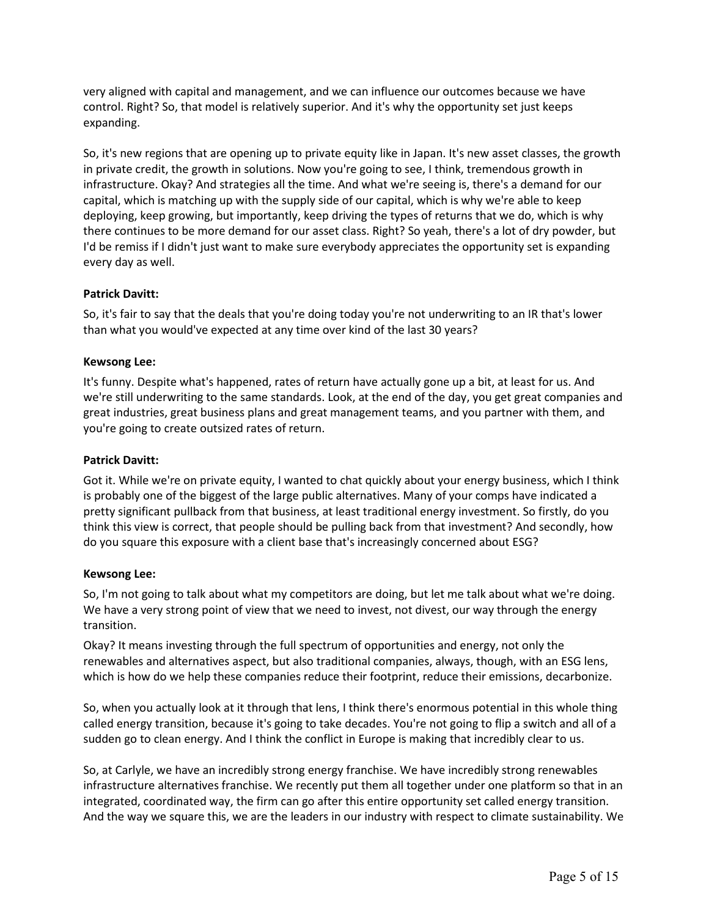very aligned with capital and management, and we can influence our outcomes because we have control. Right? So, that model is relatively superior. And it's why the opportunity set just keeps expanding.

So, it's new regions that are opening up to private equity like in Japan. It's new asset classes, the growth in private credit, the growth in solutions. Now you're going to see, I think, tremendous growth in infrastructure. Okay? And strategies all the time. And what we're seeing is, there's a demand for our capital, which is matching up with the supply side of our capital, which is why we're able to keep deploying, keep growing, but importantly, keep driving the types of returns that we do, which is why there continues to be more demand for our asset class. Right? So yeah, there's a lot of dry powder, but I'd be remiss if I didn't just want to make sure everybody appreciates the opportunity set is expanding every day as well.

# **Patrick Davitt:**

So, it's fair to say that the deals that you're doing today you're not underwriting to an IR that's lower than what you would've expected at any time over kind of the last 30 years?

# **Kewsong Lee:**

It's funny. Despite what's happened, rates of return have actually gone up a bit, at least for us. And we're still underwriting to the same standards. Look, at the end of the day, you get great companies and great industries, great business plans and great management teams, and you partner with them, and you're going to create outsized rates of return.

# **Patrick Davitt:**

Got it. While we're on private equity, I wanted to chat quickly about your energy business, which I think is probably one of the biggest of the large public alternatives. Many of your comps have indicated a pretty significant pullback from that business, at least traditional energy investment. So firstly, do you think this view is correct, that people should be pulling back from that investment? And secondly, how do you square this exposure with a client base that's increasingly concerned about ESG?

# **Kewsong Lee:**

So, I'm not going to talk about what my competitors are doing, but let me talk about what we're doing. We have a very strong point of view that we need to invest, not divest, our way through the energy transition.

Okay? It means investing through the full spectrum of opportunities and energy, not only the renewables and alternatives aspect, but also traditional companies, always, though, with an ESG lens, which is how do we help these companies reduce their footprint, reduce their emissions, decarbonize.

So, when you actually look at it through that lens, I think there's enormous potential in this whole thing called energy transition, because it's going to take decades. You're not going to flip a switch and all of a sudden go to clean energy. And I think the conflict in Europe is making that incredibly clear to us.

So, at Carlyle, we have an incredibly strong energy franchise. We have incredibly strong renewables infrastructure alternatives franchise. We recently put them all together under one platform so that in an integrated, coordinated way, the firm can go after this entire opportunity set called energy transition. And the way we square this, we are the leaders in our industry with respect to climate sustainability. We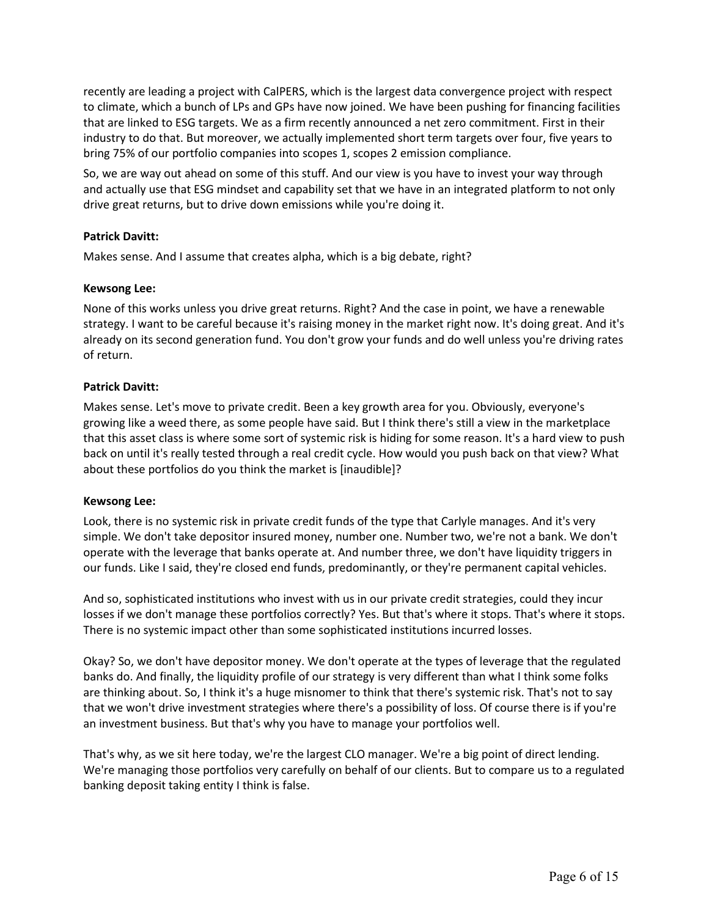recently are leading a project with CalPERS, which is the largest data convergence project with respect to climate, which a bunch of LPs and GPs have now joined. We have been pushing for financing facilities that are linked to ESG targets. We as a firm recently announced a net zero commitment. First in their industry to do that. But moreover, we actually implemented short term targets over four, five years to bring 75% of our portfolio companies into scopes 1, scopes 2 emission compliance.

So, we are way out ahead on some of this stuff. And our view is you have to invest your way through and actually use that ESG mindset and capability set that we have in an integrated platform to not only drive great returns, but to drive down emissions while you're doing it.

# **Patrick Davitt:**

Makes sense. And I assume that creates alpha, which is a big debate, right?

# **Kewsong Lee:**

None of this works unless you drive great returns. Right? And the case in point, we have a renewable strategy. I want to be careful because it's raising money in the market right now. It's doing great. And it's already on its second generation fund. You don't grow your funds and do well unless you're driving rates of return.

### **Patrick Davitt:**

Makes sense. Let's move to private credit. Been a key growth area for you. Obviously, everyone's growing like a weed there, as some people have said. But I think there's still a view in the marketplace that this asset class is where some sort of systemic risk is hiding for some reason. It's a hard view to push back on until it's really tested through a real credit cycle. How would you push back on that view? What about these portfolios do you think the market is [inaudible]?

# **Kewsong Lee:**

Look, there is no systemic risk in private credit funds of the type that Carlyle manages. And it's very simple. We don't take depositor insured money, number one. Number two, we're not a bank. We don't operate with the leverage that banks operate at. And number three, we don't have liquidity triggers in our funds. Like I said, they're closed end funds, predominantly, or they're permanent capital vehicles.

And so, sophisticated institutions who invest with us in our private credit strategies, could they incur losses if we don't manage these portfolios correctly? Yes. But that's where it stops. That's where it stops. There is no systemic impact other than some sophisticated institutions incurred losses.

Okay? So, we don't have depositor money. We don't operate at the types of leverage that the regulated banks do. And finally, the liquidity profile of our strategy is very different than what I think some folks are thinking about. So, I think it's a huge misnomer to think that there's systemic risk. That's not to say that we won't drive investment strategies where there's a possibility of loss. Of course there is if you're an investment business. But that's why you have to manage your portfolios well.

That's why, as we sit here today, we're the largest CLO manager. We're a big point of direct lending. We're managing those portfolios very carefully on behalf of our clients. But to compare us to a regulated banking deposit taking entity I think is false.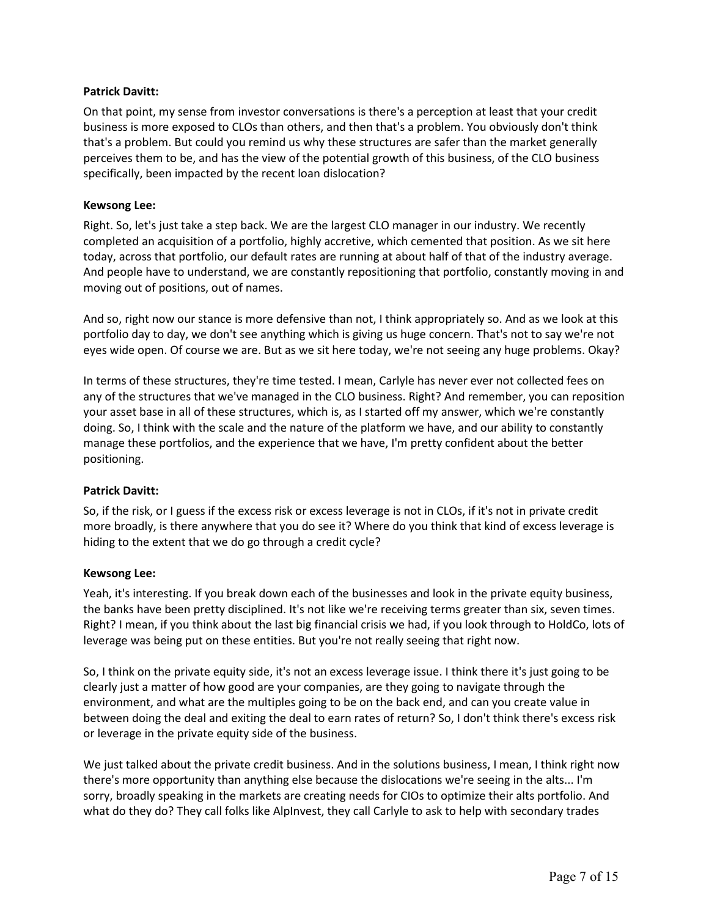### **Patrick Davitt:**

On that point, my sense from investor conversations is there's a perception at least that your credit business is more exposed to CLOs than others, and then that's a problem. You obviously don't think that's a problem. But could you remind us why these structures are safer than the market generally perceives them to be, and has the view of the potential growth of this business, of the CLO business specifically, been impacted by the recent loan dislocation?

### **Kewsong Lee:**

Right. So, let's just take a step back. We are the largest CLO manager in our industry. We recently completed an acquisition of a portfolio, highly accretive, which cemented that position. As we sit here today, across that portfolio, our default rates are running at about half of that of the industry average. And people have to understand, we are constantly repositioning that portfolio, constantly moving in and moving out of positions, out of names.

And so, right now our stance is more defensive than not, I think appropriately so. And as we look at this portfolio day to day, we don't see anything which is giving us huge concern. That's not to say we're not eyes wide open. Of course we are. But as we sit here today, we're not seeing any huge problems. Okay?

In terms of these structures, they're time tested. I mean, Carlyle has never ever not collected fees on any of the structures that we've managed in the CLO business. Right? And remember, you can reposition your asset base in all of these structures, which is, as I started off my answer, which we're constantly doing. So, I think with the scale and the nature of the platform we have, and our ability to constantly manage these portfolios, and the experience that we have, I'm pretty confident about the better positioning.

# **Patrick Davitt:**

So, if the risk, or I guess if the excess risk or excess leverage is not in CLOs, if it's not in private credit more broadly, is there anywhere that you do see it? Where do you think that kind of excess leverage is hiding to the extent that we do go through a credit cycle?

# **Kewsong Lee:**

Yeah, it's interesting. If you break down each of the businesses and look in the private equity business, the banks have been pretty disciplined. It's not like we're receiving terms greater than six, seven times. Right? I mean, if you think about the last big financial crisis we had, if you look through to HoldCo, lots of leverage was being put on these entities. But you're not really seeing that right now.

So, I think on the private equity side, it's not an excess leverage issue. I think there it's just going to be clearly just a matter of how good are your companies, are they going to navigate through the environment, and what are the multiples going to be on the back end, and can you create value in between doing the deal and exiting the deal to earn rates of return? So, I don't think there's excess risk or leverage in the private equity side of the business.

We just talked about the private credit business. And in the solutions business, I mean, I think right now there's more opportunity than anything else because the dislocations we're seeing in the alts... I'm sorry, broadly speaking in the markets are creating needs for CIOs to optimize their alts portfolio. And what do they do? They call folks like AlpInvest, they call Carlyle to ask to help with secondary trades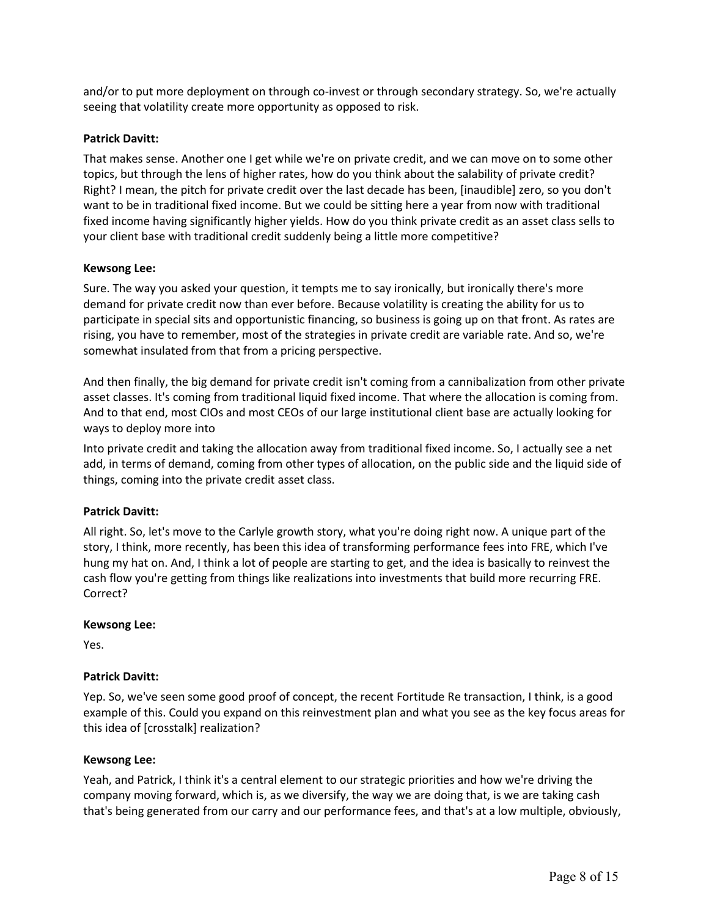and/or to put more deployment on through co-invest or through secondary strategy. So, we're actually seeing that volatility create more opportunity as opposed to risk.

# **Patrick Davitt:**

That makes sense. Another one I get while we're on private credit, and we can move on to some other topics, but through the lens of higher rates, how do you think about the salability of private credit? Right? I mean, the pitch for private credit over the last decade has been, [inaudible] zero, so you don't want to be in traditional fixed income. But we could be sitting here a year from now with traditional fixed income having significantly higher yields. How do you think private credit as an asset class sells to your client base with traditional credit suddenly being a little more competitive?

### **Kewsong Lee:**

Sure. The way you asked your question, it tempts me to say ironically, but ironically there's more demand for private credit now than ever before. Because volatility is creating the ability for us to participate in special sits and opportunistic financing, so business is going up on that front. As rates are rising, you have to remember, most of the strategies in private credit are variable rate. And so, we're somewhat insulated from that from a pricing perspective.

And then finally, the big demand for private credit isn't coming from a cannibalization from other private asset classes. It's coming from traditional liquid fixed income. That where the allocation is coming from. And to that end, most CIOs and most CEOs of our large institutional client base are actually looking for ways to deploy more into

Into private credit and taking the allocation away from traditional fixed income. So, I actually see a net add, in terms of demand, coming from other types of allocation, on the public side and the liquid side of things, coming into the private credit asset class.

# **Patrick Davitt:**

All right. So, let's move to the Carlyle growth story, what you're doing right now. A unique part of the story, I think, more recently, has been this idea of transforming performance fees into FRE, which I've hung my hat on. And, I think a lot of people are starting to get, and the idea is basically to reinvest the cash flow you're getting from things like realizations into investments that build more recurring FRE. Correct?

#### **Kewsong Lee:**

Yes.

# **Patrick Davitt:**

Yep. So, we've seen some good proof of concept, the recent Fortitude Re transaction, I think, is a good example of this. Could you expand on this reinvestment plan and what you see as the key focus areas for this idea of [crosstalk] realization?

#### **Kewsong Lee:**

Yeah, and Patrick, I think it's a central element to our strategic priorities and how we're driving the company moving forward, which is, as we diversify, the way we are doing that, is we are taking cash that's being generated from our carry and our performance fees, and that's at a low multiple, obviously,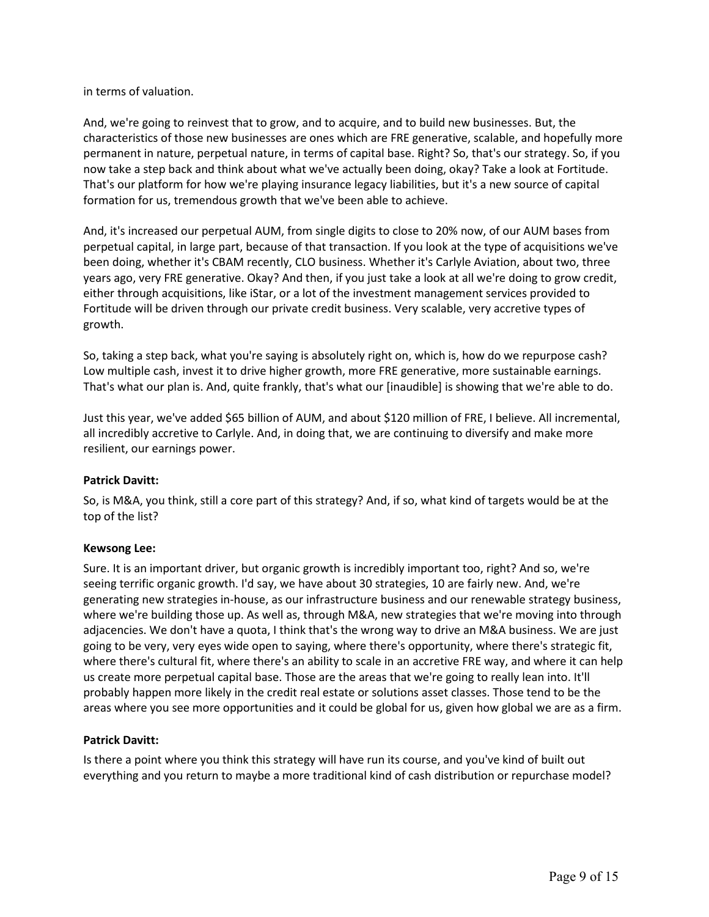in terms of valuation.

And, we're going to reinvest that to grow, and to acquire, and to build new businesses. But, the characteristics of those new businesses are ones which are FRE generative, scalable, and hopefully more permanent in nature, perpetual nature, in terms of capital base. Right? So, that's our strategy. So, if you now take a step back and think about what we've actually been doing, okay? Take a look at Fortitude. That's our platform for how we're playing insurance legacy liabilities, but it's a new source of capital formation for us, tremendous growth that we've been able to achieve.

And, it's increased our perpetual AUM, from single digits to close to 20% now, of our AUM bases from perpetual capital, in large part, because of that transaction. If you look at the type of acquisitions we've been doing, whether it's CBAM recently, CLO business. Whether it's Carlyle Aviation, about two, three years ago, very FRE generative. Okay? And then, if you just take a look at all we're doing to grow credit, either through acquisitions, like iStar, or a lot of the investment management services provided to Fortitude will be driven through our private credit business. Very scalable, very accretive types of growth.

So, taking a step back, what you're saying is absolutely right on, which is, how do we repurpose cash? Low multiple cash, invest it to drive higher growth, more FRE generative, more sustainable earnings. That's what our plan is. And, quite frankly, that's what our [inaudible] is showing that we're able to do.

Just this year, we've added \$65 billion of AUM, and about \$120 million of FRE, I believe. All incremental, all incredibly accretive to Carlyle. And, in doing that, we are continuing to diversify and make more resilient, our earnings power.

# **Patrick Davitt:**

So, is M&A, you think, still a core part of this strategy? And, if so, what kind of targets would be at the top of the list?

# **Kewsong Lee:**

Sure. It is an important driver, but organic growth is incredibly important too, right? And so, we're seeing terrific organic growth. I'd say, we have about 30 strategies, 10 are fairly new. And, we're generating new strategies in-house, as our infrastructure business and our renewable strategy business, where we're building those up. As well as, through M&A, new strategies that we're moving into through adjacencies. We don't have a quota, I think that's the wrong way to drive an M&A business. We are just going to be very, very eyes wide open to saying, where there's opportunity, where there's strategic fit, where there's cultural fit, where there's an ability to scale in an accretive FRE way, and where it can help us create more perpetual capital base. Those are the areas that we're going to really lean into. It'll probably happen more likely in the credit real estate or solutions asset classes. Those tend to be the areas where you see more opportunities and it could be global for us, given how global we are as a firm.

#### **Patrick Davitt:**

Is there a point where you think this strategy will have run its course, and you've kind of built out everything and you return to maybe a more traditional kind of cash distribution or repurchase model?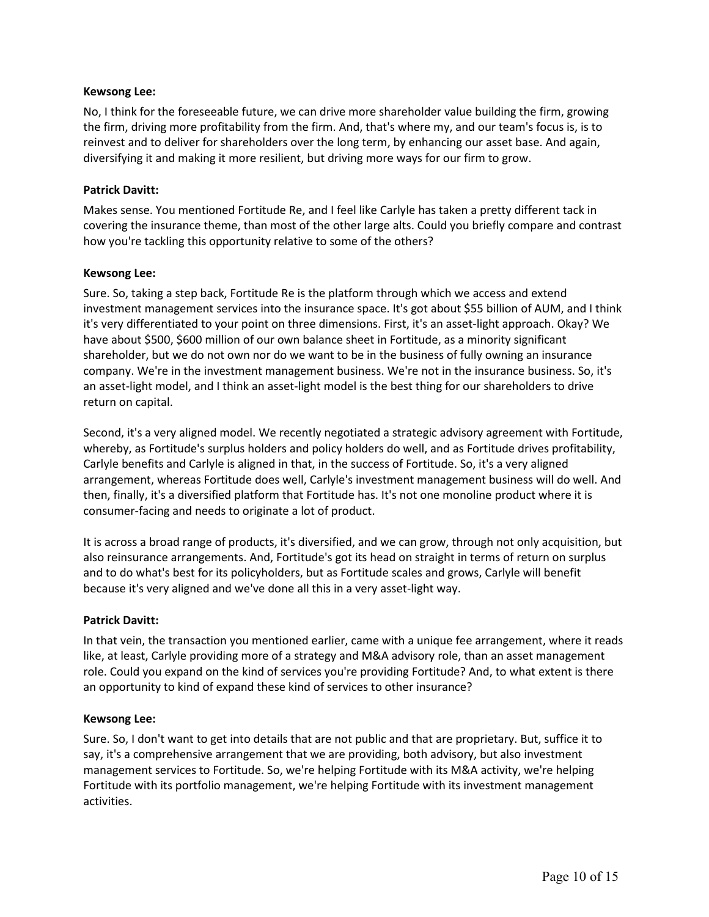### **Kewsong Lee:**

No, I think for the foreseeable future, we can drive more shareholder value building the firm, growing the firm, driving more profitability from the firm. And, that's where my, and our team's focus is, is to reinvest and to deliver for shareholders over the long term, by enhancing our asset base. And again, diversifying it and making it more resilient, but driving more ways for our firm to grow.

### **Patrick Davitt:**

Makes sense. You mentioned Fortitude Re, and I feel like Carlyle has taken a pretty different tack in covering the insurance theme, than most of the other large alts. Could you briefly compare and contrast how you're tackling this opportunity relative to some of the others?

### **Kewsong Lee:**

Sure. So, taking a step back, Fortitude Re is the platform through which we access and extend investment management services into the insurance space. It's got about \$55 billion of AUM, and I think it's very differentiated to your point on three dimensions. First, it's an asset-light approach. Okay? We have about \$500, \$600 million of our own balance sheet in Fortitude, as a minority significant shareholder, but we do not own nor do we want to be in the business of fully owning an insurance company. We're in the investment management business. We're not in the insurance business. So, it's an asset-light model, and I think an asset-light model is the best thing for our shareholders to drive return on capital.

Second, it's a very aligned model. We recently negotiated a strategic advisory agreement with Fortitude, whereby, as Fortitude's surplus holders and policy holders do well, and as Fortitude drives profitability, Carlyle benefits and Carlyle is aligned in that, in the success of Fortitude. So, it's a very aligned arrangement, whereas Fortitude does well, Carlyle's investment management business will do well. And then, finally, it's a diversified platform that Fortitude has. It's not one monoline product where it is consumer-facing and needs to originate a lot of product.

It is across a broad range of products, it's diversified, and we can grow, through not only acquisition, but also reinsurance arrangements. And, Fortitude's got its head on straight in terms of return on surplus and to do what's best for its policyholders, but as Fortitude scales and grows, Carlyle will benefit because it's very aligned and we've done all this in a very asset-light way.

# **Patrick Davitt:**

In that vein, the transaction you mentioned earlier, came with a unique fee arrangement, where it reads like, at least, Carlyle providing more of a strategy and M&A advisory role, than an asset management role. Could you expand on the kind of services you're providing Fortitude? And, to what extent is there an opportunity to kind of expand these kind of services to other insurance?

#### **Kewsong Lee:**

Sure. So, I don't want to get into details that are not public and that are proprietary. But, suffice it to say, it's a comprehensive arrangement that we are providing, both advisory, but also investment management services to Fortitude. So, we're helping Fortitude with its M&A activity, we're helping Fortitude with its portfolio management, we're helping Fortitude with its investment management activities.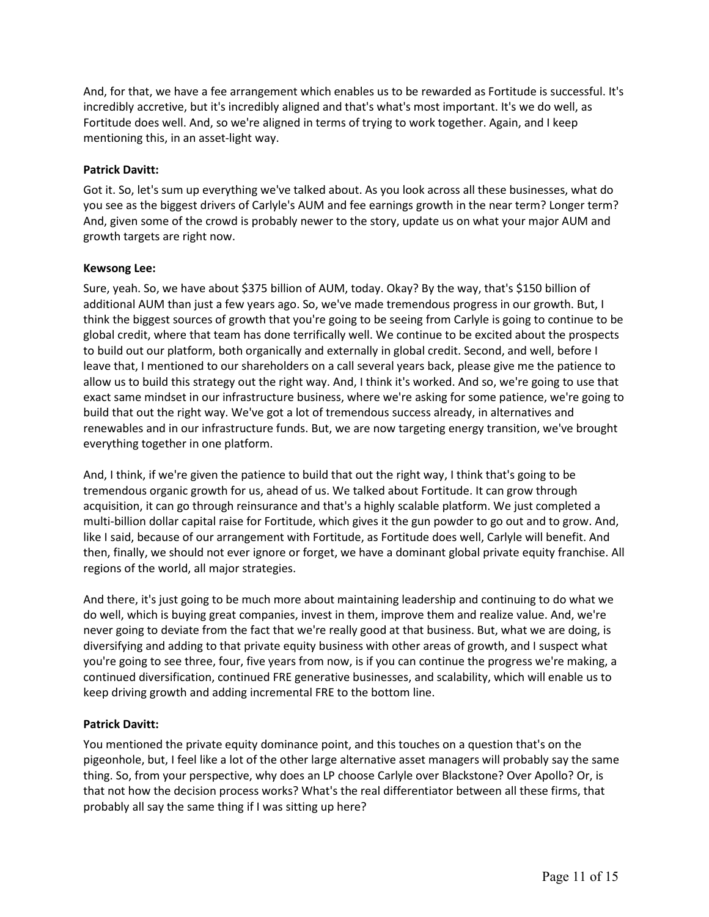And, for that, we have a fee arrangement which enables us to be rewarded as Fortitude is successful. It's incredibly accretive, but it's incredibly aligned and that's what's most important. It's we do well, as Fortitude does well. And, so we're aligned in terms of trying to work together. Again, and I keep mentioning this, in an asset-light way.

# **Patrick Davitt:**

Got it. So, let's sum up everything we've talked about. As you look across all these businesses, what do you see as the biggest drivers of Carlyle's AUM and fee earnings growth in the near term? Longer term? And, given some of the crowd is probably newer to the story, update us on what your major AUM and growth targets are right now.

### **Kewsong Lee:**

Sure, yeah. So, we have about \$375 billion of AUM, today. Okay? By the way, that's \$150 billion of additional AUM than just a few years ago. So, we've made tremendous progress in our growth. But, I think the biggest sources of growth that you're going to be seeing from Carlyle is going to continue to be global credit, where that team has done terrifically well. We continue to be excited about the prospects to build out our platform, both organically and externally in global credit. Second, and well, before I leave that, I mentioned to our shareholders on a call several years back, please give me the patience to allow us to build this strategy out the right way. And, I think it's worked. And so, we're going to use that exact same mindset in our infrastructure business, where we're asking for some patience, we're going to build that out the right way. We've got a lot of tremendous success already, in alternatives and renewables and in our infrastructure funds. But, we are now targeting energy transition, we've brought everything together in one platform.

And, I think, if we're given the patience to build that out the right way, I think that's going to be tremendous organic growth for us, ahead of us. We talked about Fortitude. It can grow through acquisition, it can go through reinsurance and that's a highly scalable platform. We just completed a multi-billion dollar capital raise for Fortitude, which gives it the gun powder to go out and to grow. And, like I said, because of our arrangement with Fortitude, as Fortitude does well, Carlyle will benefit. And then, finally, we should not ever ignore or forget, we have a dominant global private equity franchise. All regions of the world, all major strategies.

And there, it's just going to be much more about maintaining leadership and continuing to do what we do well, which is buying great companies, invest in them, improve them and realize value. And, we're never going to deviate from the fact that we're really good at that business. But, what we are doing, is diversifying and adding to that private equity business with other areas of growth, and I suspect what you're going to see three, four, five years from now, is if you can continue the progress we're making, a continued diversification, continued FRE generative businesses, and scalability, which will enable us to keep driving growth and adding incremental FRE to the bottom line.

# **Patrick Davitt:**

You mentioned the private equity dominance point, and this touches on a question that's on the pigeonhole, but, I feel like a lot of the other large alternative asset managers will probably say the same thing. So, from your perspective, why does an LP choose Carlyle over Blackstone? Over Apollo? Or, is that not how the decision process works? What's the real differentiator between all these firms, that probably all say the same thing if I was sitting up here?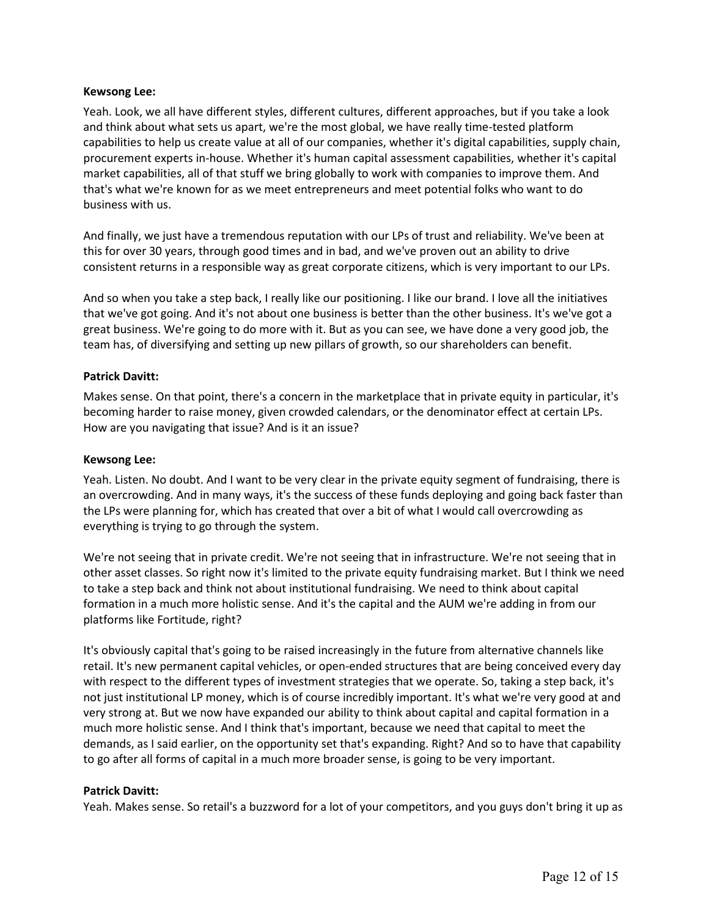### **Kewsong Lee:**

Yeah. Look, we all have different styles, different cultures, different approaches, but if you take a look and think about what sets us apart, we're the most global, we have really time-tested platform capabilities to help us create value at all of our companies, whether it's digital capabilities, supply chain, procurement experts in-house. Whether it's human capital assessment capabilities, whether it's capital market capabilities, all of that stuff we bring globally to work with companies to improve them. And that's what we're known for as we meet entrepreneurs and meet potential folks who want to do business with us.

And finally, we just have a tremendous reputation with our LPs of trust and reliability. We've been at this for over 30 years, through good times and in bad, and we've proven out an ability to drive consistent returns in a responsible way as great corporate citizens, which is very important to our LPs.

And so when you take a step back, I really like our positioning. I like our brand. I love all the initiatives that we've got going. And it's not about one business is better than the other business. It's we've got a great business. We're going to do more with it. But as you can see, we have done a very good job, the team has, of diversifying and setting up new pillars of growth, so our shareholders can benefit.

### **Patrick Davitt:**

Makes sense. On that point, there's a concern in the marketplace that in private equity in particular, it's becoming harder to raise money, given crowded calendars, or the denominator effect at certain LPs. How are you navigating that issue? And is it an issue?

#### **Kewsong Lee:**

Yeah. Listen. No doubt. And I want to be very clear in the private equity segment of fundraising, there is an overcrowding. And in many ways, it's the success of these funds deploying and going back faster than the LPs were planning for, which has created that over a bit of what I would call overcrowding as everything is trying to go through the system.

We're not seeing that in private credit. We're not seeing that in infrastructure. We're not seeing that in other asset classes. So right now it's limited to the private equity fundraising market. But I think we need to take a step back and think not about institutional fundraising. We need to think about capital formation in a much more holistic sense. And it's the capital and the AUM we're adding in from our platforms like Fortitude, right?

It's obviously capital that's going to be raised increasingly in the future from alternative channels like retail. It's new permanent capital vehicles, or open-ended structures that are being conceived every day with respect to the different types of investment strategies that we operate. So, taking a step back, it's not just institutional LP money, which is of course incredibly important. It's what we're very good at and very strong at. But we now have expanded our ability to think about capital and capital formation in a much more holistic sense. And I think that's important, because we need that capital to meet the demands, as I said earlier, on the opportunity set that's expanding. Right? And so to have that capability to go after all forms of capital in a much more broader sense, is going to be very important.

#### **Patrick Davitt:**

Yeah. Makes sense. So retail's a buzzword for a lot of your competitors, and you guys don't bring it up as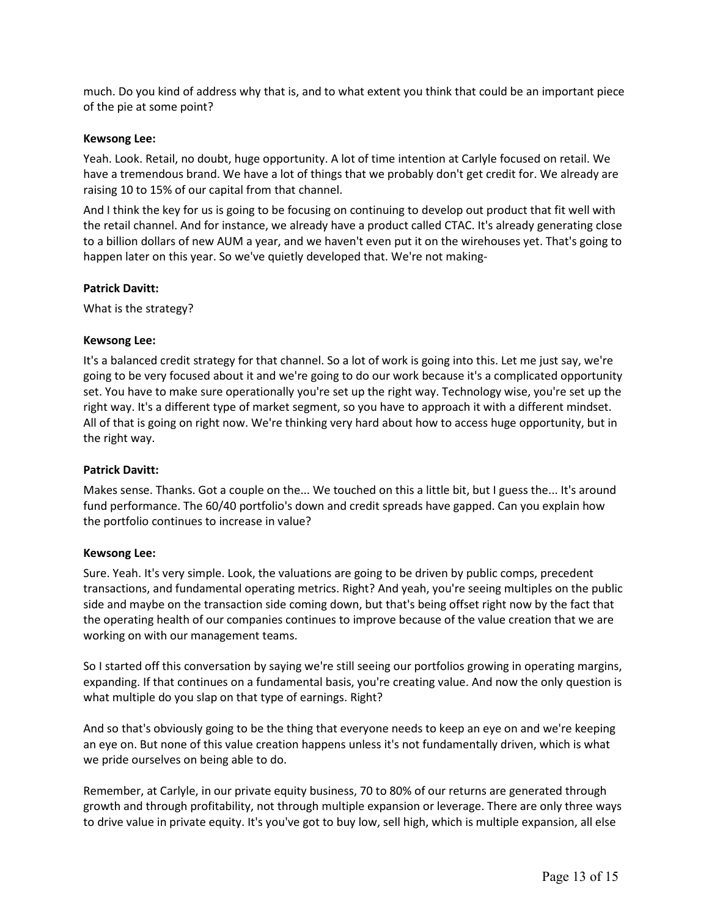much. Do you kind of address why that is, and to what extent you think that could be an important piece of the pie at some point?

### **Kewsong Lee:**

Yeah. Look. Retail, no doubt, huge opportunity. A lot of time intention at Carlyle focused on retail. We have a tremendous brand. We have a lot of things that we probably don't get credit for. We already are raising 10 to 15% of our capital from that channel.

And I think the key for us is going to be focusing on continuing to develop out product that fit well with the retail channel. And for instance, we already have a product called CTAC. It's already generating close to a billion dollars of new AUM a year, and we haven't even put it on the wirehouses yet. That's going to happen later on this year. So we've quietly developed that. We're not making-

### **Patrick Davitt:**

What is the strategy?

# **Kewsong Lee:**

It's a balanced credit strategy for that channel. So a lot of work is going into this. Let me just say, we're going to be very focused about it and we're going to do our work because it's a complicated opportunity set. You have to make sure operationally you're set up the right way. Technology wise, you're set up the right way. It's a different type of market segment, so you have to approach it with a different mindset. All of that is going on right now. We're thinking very hard about how to access huge opportunity, but in the right way.

#### **Patrick Davitt:**

Makes sense. Thanks. Got a couple on the... We touched on this a little bit, but I guess the... It's around fund performance. The 60/40 portfolio's down and credit spreads have gapped. Can you explain how the portfolio continues to increase in value?

#### **Kewsong Lee:**

Sure. Yeah. It's very simple. Look, the valuations are going to be driven by public comps, precedent transactions, and fundamental operating metrics. Right? And yeah, you're seeing multiples on the public side and maybe on the transaction side coming down, but that's being offset right now by the fact that the operating health of our companies continues to improve because of the value creation that we are working on with our management teams.

So I started off this conversation by saying we're still seeing our portfolios growing in operating margins, expanding. If that continues on a fundamental basis, you're creating value. And now the only question is what multiple do you slap on that type of earnings. Right?

And so that's obviously going to be the thing that everyone needs to keep an eye on and we're keeping an eye on. But none of this value creation happens unless it's not fundamentally driven, which is what we pride ourselves on being able to do.

Remember, at Carlyle, in our private equity business, 70 to 80% of our returns are generated through growth and through profitability, not through multiple expansion or leverage. There are only three ways to drive value in private equity. It's you've got to buy low, sell high, which is multiple expansion, all else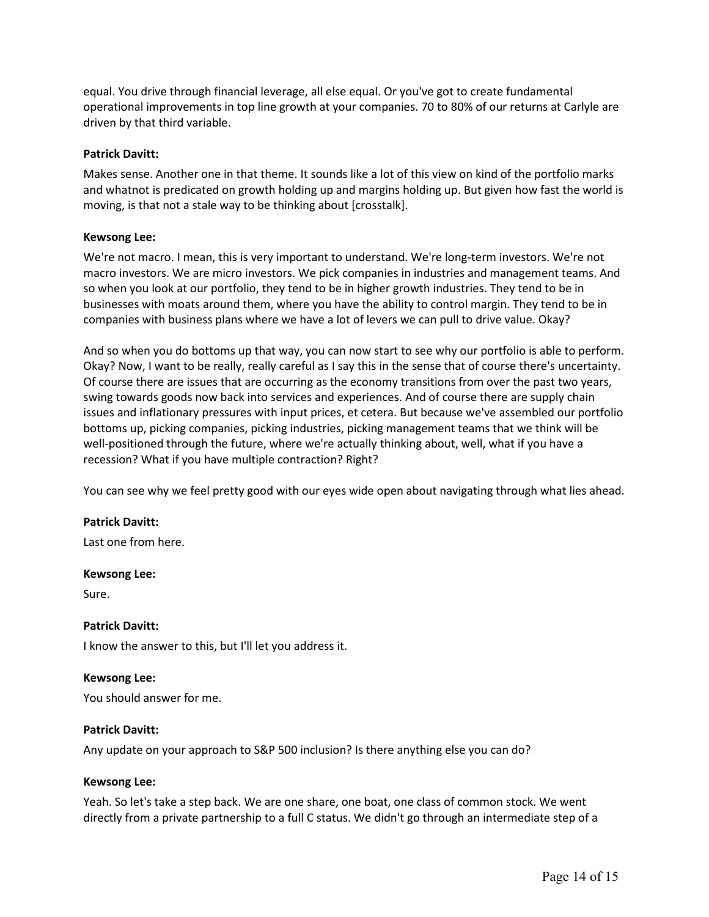equal. You drive through financial leverage, all else equal. Or you've got to create fundamental operational improvements in top line growth at your companies. 70 to 80% of our returns at Carlyle are driven by that third variable.

### **Patrick Davitt:**

Makes sense. Another one in that theme. It sounds like a lot of this view on kind of the portfolio marks and whatnot is predicated on growth holding up and margins holding up. But given how fast the world is moving, is that not a stale way to be thinking about [crosstalk].

### **Kewsong Lee:**

We're not macro. I mean, this is very important to understand. We're long-term investors. We're not macro investors. We are micro investors. We pick companies in industries and management teams. And so when you look at our portfolio, they tend to be in higher growth industries. They tend to be in businesses with moats around them, where you have the ability to control margin. They tend to be in companies with business plans where we have a lot of levers we can pull to drive value. Okay?

And so when you do bottoms up that way, you can now start to see why our portfolio is able to perform. Okay? Now, I want to be really, really careful as I say this in the sense that of course there's uncertainty. Of course there are issues that are occurring as the economy transitions from over the past two years, swing towards goods now back into services and experiences. And of course there are supply chain issues and inflationary pressures with input prices, et cetera. But because we've assembled our portfolio bottoms up, picking companies, picking industries, picking management teams that we think will be well-positioned through the future, where we're actually thinking about, well, what if you have a recession? What if you have multiple contraction? Right?

You can see why we feel pretty good with our eyes wide open about navigating through what lies ahead.

#### **Patrick Davitt:**

Last one from here.

#### **Kewsong Lee:**

Sure.

# **Patrick Davitt:**

I know the answer to this, but I'll let you address it.

#### **Kewsong Lee:**

You should answer for me.

#### **Patrick Davitt:**

Any update on your approach to S&P 500 inclusion? Is there anything else you can do?

#### **Kewsong Lee:**

Yeah. So let's take a step back. We are one share, one boat, one class of common stock. We went directly from a private partnership to a full C status. We didn't go through an intermediate step of a